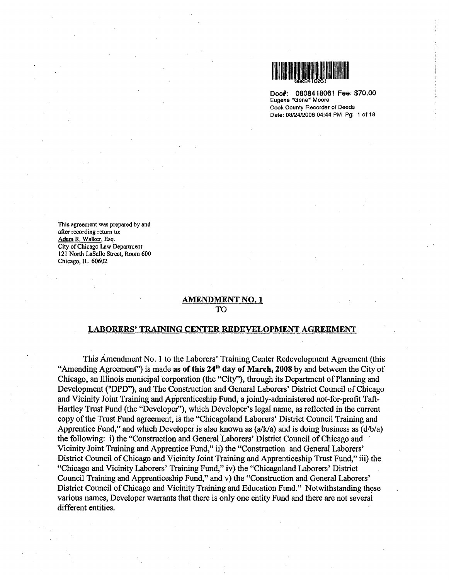

Doc#: 0808418061 Fee: \$70.00 Eugene "Gene• Moore Cook County Recorder of Deeds Date: 0312412008 04:44 PM Pg: 1 of 18

This agreement was prepared by and after recording return to: Adam R. Walker, Esq. City of Chicago Law Department 121 North LaSalle Street, Room 600 Chicago, IL 60602

#### AMENDMENT NO. 1 TO

#### LABORERS' TRAINING CENTER REDEVELOPMENT AGREEMENT

This Amendment No.1 to the Laborers' Training Center Redevelopment Agreement (this "Amending Agreement") is made as of this  $24<sup>th</sup>$  day of March, 2008 by and between the City of Chicago, an Illinois municipal corporation (the "City''), through its Department of Planning and Development ("DPD"), and The Construction and General Laborers' District Council of Chicago and Vicinity Joint Training and Apprenticeship Fund, a jointly-administered not-for-profit Taft-Hartley Trust Fund (the "Developer"), which Developer's legal name, as reflected in the current copy of the Trust Fund agreement, is the "Chicagoland Laborers' District Council Training and Apprentice Fund," and which Developer is also known as  $(a/k/a)$  and is doing business as  $(d/b/a)$ the following: i) the "Construction and General Laborers' District Council of Chicago and · Vicinity Joint Training and Apprentice Fund," ii) the "Construction and General Laborers' District Council of Chicago and Vicinity Joint Training and Apprenticeship Trust Fund," iii) the "Chicago and Vicinity Laborers' Training Fund," iv) the "Chicagoland Laborers' District Council Training and Apprenticeship Fund," and v) the "Construction and General Laborers' District Council of Chicago and Vicinity Training and Education Fund." Notwithstanding these various names, Developer warrants that there is only one entity Fund and there are not several different entities.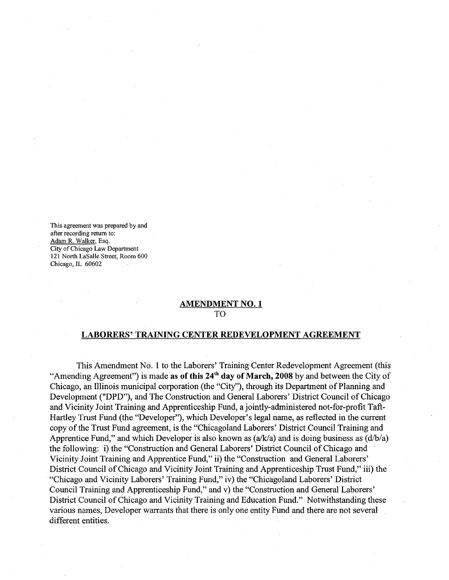This agreement was prepared by and after recording return to: Adam R. Walker, Esq. City of Chicago Law Department 121 North LaSalle Street, Room 600 Chicago, IL 60602

### AMENDMENT NO. 1 TO

#### LABORERS' TRAINING CENTER REDEVELOPMENT AGREEMENT

This Amendment No. 1 to the Laborers' Training Center Redevelopment Agreement (this "Amending Agreement") is made as of this  $24<sup>th</sup>$  day of March, 2008 by and between the City of Chicago, an Illinois municipal corporation (the "City''), through its Department of Planning and Development ("DPD"), and The Construction and General Laborers' District Council of Chicago and Vicinity Joint Training and Apprenticeship Fund, a jointly-administered not-for-profit Taft-Hartley Trust Fund (the "Developer"), which Developer's legal name, as reflected in the current copy of the Trust Fund agreement, is the "Chicagoland Laborers' District Council Training and Apprentice Fund," and which Developer is also known as  $(a/k/a)$  and is doing business as  $(d/b/a)$ the following: i) the "Construction and General Laborers' District Council of Chicago and Vicinity Joint Training and Apprentice Fund," ii) the "Construction and General Laborers' District Council of Chicago and Vicinity Joint Training and Apprenticeship Trust Fund," iii) the "Chicago and Vicinity Laborers' Training Fund," iv) the "Chicagoland Laborers' District Council Training and Apprenticeship Fund," and v) the "Construction and General Laborers' District Council of Chicago and Vicinity Training and Education Fund." Notwithstanding these various names, Developer warrants that there is only one entity Fund and there are not several different entities.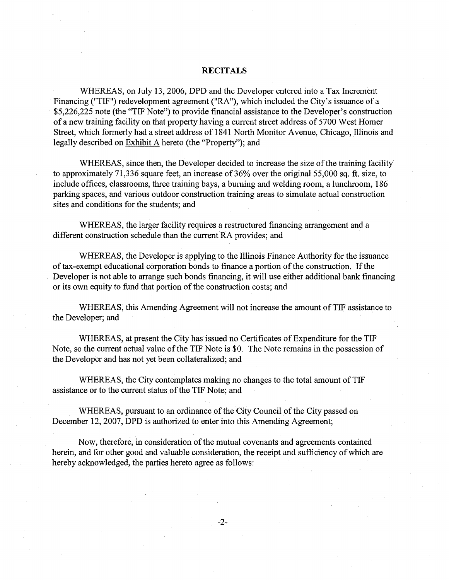#### **RECITALS**

WHEREAS, on July 13, 2006, DPD and the Developer entered into a Tax Increment Financing ("TIF") redevelopment agreement ("RA"), which included the City's issuance of a \$5,226,225 note (the "TIF Note") to provide financial assistance to the Developer's construction of a new training facility on that property having a current street address of 5700 West Homer Street, which formerly had a street address of 1841 North Monitor A venue, Chicago, Illinois and legally described on Exhibit A hereto (the "Property''); and

WHEREAS, since then, the Developer decided to increase the size of the training facility to approximately 71,336 square feet, an increase of 36% over the original 55,000 sq. ft. size, to include offices, classrooms, three training bays, a burning and welding room, a lunchroom, 186 parking spaces, and various outdoor construction training areas to simulate actual construction sites and conditions for the students; and

WHEREAS, the larger facility requires a restructured financing arrangement and a different construction schedule than the current RA provides; and

WHEREAS, the Developer is applying to the Illinois Finance Authority for the issuance of tax-exempt educational corporation bonds to finance a portion of the construction. If the Developer is not able to arrange such bonds financing, it will use either additional bank financing or its own equity to fund that portion of the construction costs; and

WHEREAS; this Amending Agreement will not increase the amount of TIF assistance to the Developer; and

WHEREAS, at present the City has issued no Certificates of Expenditure for the TIF Note, so the current actual value of the TIF Note is \$0. The Note remains in the possession of the Developer and has not yet been collateralized; and

WHEREAS, the City contemplates making no changes to the total amount of TIF assistance or to the current status of the TIF Note; and

WHEREAS, pursuant to an ordinance of the City Council of the City passed on December 12, 2007, DPD is authorized to enter into this Amending Agreement;

Now, therefore, in consideration of the mutual covenants and agreements contained herein, and for other good and valuable consideration, the receipt and sufficiency of which are hereby acknowledged, the parties hereto agree as follows:

-2-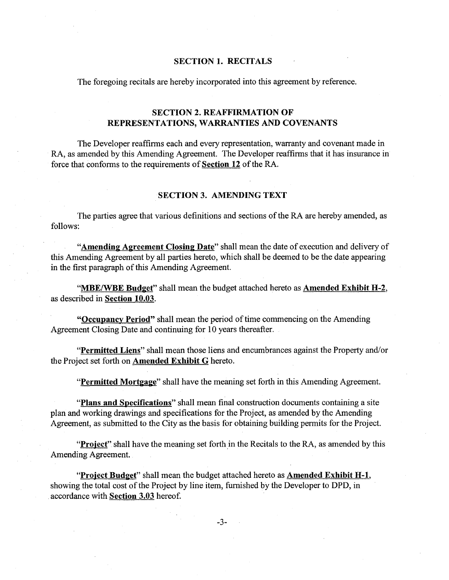### **SECTION 1. RECITALS**

The foregoing recitals are hereby incorporated into this agreement by reference.

## **SECTION 2. REAFFIRMATION OF REPRESENTATIONS, WARRANTIES AND COVENANTS**

The Developer reaffirms each and every representation, warranty and covenant made in RA, as amended by this Amending Agreement. The Developer reaffirms that it has insurance in force that conforms to the requirements of **Section 12** of the RA.

## **SECTION 3. AMENDING TEXT**

The parties agree that various definitions and sections of the RA are hereby amended, as follows:

**"Amending Agreement Closing Date"** shall mean the date of execution and delivery of this Amending Agreement by all parties hereto, which shall be deemed to be the date appearing in the first paragraph of this Amending Agreement.

**"MBE/WBE Budget"** shall mean the budget attached hereto as **Amended Exhibit H-2,**  as described in **Section 10.03.** 

**"Occupancy Period"** shall mean the period of time commencing on the Amending Agreement Closing Date and continuing for 10 years thereafter.

**"Permitted Liens"** shall mean those liens and encumbrances against the Property and/or the Project set forth on **Amended Exhibit G** hereto.

**"Permitted Mortgage"** shall have the meaning set forth in this Amending Agreement.

**"Plans and Specifications"** shall mean final construction documents containing a site plan and working drawings and specifications for the Project, as amended by the Amending Agreement, as submitted to the City as the basis for obtaining building permits for the Project.

"Project" shall have the meaning set forth in the Recitals to the RA, as amended by this Amending Agreement.

**"Project Budget"** shall mean the budget attached hereto as **Amended Exhibit H-1,**  showing the total cost of the Project by line item, furnished by the Developer to DPD, in accordance with **Section 3.03** hereof.

-3-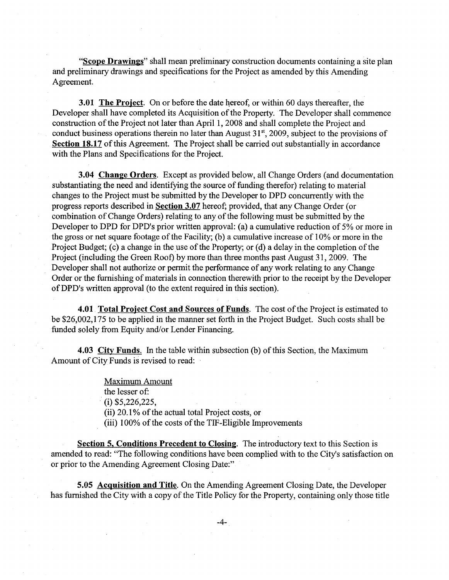"Scope Drawings" shall mean preliminary construction documents containing a site plan and preliminary drawings and specifications for the Project as amended by this Amending Agreement.

3.01 The Project. On or before the date hereof, or within 60 days thereafter, the Developer shall have completed its Acquisition of the Property. The Developer shall commence construction of the Project not later than April 1, 2008 and shall complete the Project and conduct business operations therein no later than August 31<sup>st</sup>, 2009, subject to the provisions of Section 18.17 of this Agreement. The Project shall be carried out substantially in accordance with the Plans and Specifications for the Project.

**3.04 Change Orders.** Except as provided below, all Change Orders (and documentation substantiating the need and identifying the source of funding therefor) relating to material changes to the Project must be submitted by the Developer to DPD concurrently with the progress reports described in Section 3.07 hereof; provided, that any Change Order (or combination of Change Orders) relating to any of the following must be submitted by the Developer to DPD for DPD's prior written approval: (a) a cumulative reduction of 5% or more in the gross or net square footage of the Facility; (b) a cumulative increase of 1 0% or more in the Project Budget; (c) a change in the use of the Property; or (d) a delay in the completion of the Project (including the Green Root) by more than three months past August 31, 2009. The Developer shall not authorize or permit the performance of any work relating to any Change Order or the furnishing of materials in connection therewith prior to the receipt by the Developer ofDPD's written approval (to the extent required in this section).

4.01 Total Project Cost and Sources of Funds. The cost of the Project is estimated to be \$26,002,175 to be applied in the manner set forth in the Project Budget. Such costs shall be funded solely from Equity and/or Lender Financing.

4.03 City Funds. In the table within subsection (b) of this Section, the Maximum Amount of City Funds is revised to read:

> Maximum Amount the lesser of: . (i) \$5,226,225, (ii) 20.1% of the actual total Project costs, or (iii) 100% of the costs of the TIF-Eligible Improvements

Section 5, Conditions Precedent to Closing. The introductory text to this Section is amended to read: "The following conditions have been complied with to the City's satisfaction on or prior to the Amending Agreement Closing Date:"

5.05 Acquisition and Title. On the Amending Agreement Closing Date, the Developer has furnished the City with a copy of the Title Policy for the Property, containing only those title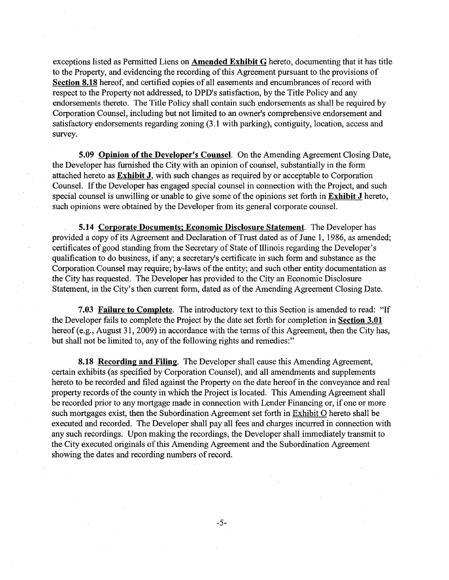exceptions listed as Permitted Liens on **Amended Exhibit G** hereto, documenting that it has title to the Property, and evidencing the recording of this Agreement pursuant to the provisions of **Section 8.18** hereof, and certified copies of all easements and encumbrances of record with respect to the Property not addressed, to DPD's satisfaction, by the Title Policy and any endorsements thereto. The Title Policy shall contain such endorsements as shall be required by Corporation Counsel, including but not limited to an owner's comprehensive endorsement and satisfactory endorsements regarding zoning (3 .l with parking), contiguity, location, access and survey.

**5.09 Opinion of the Developer's Counsel**. On the Amending Agreement Closing Date, the Developer has furnished the City with an opinion of counsel, substantially in the form attached hereto as **Exhibit J,** with such changes as required by or acceptable to Corporation Counsel. If the Developer has engaged special counsel in connection with the Project, and such special counsel is unwilling or unable to give some of the opinions set forth in **Exhibit J** hereto, such opinions were obtained by the Developer from its general corporate counsel.

**5.14 Corporate Documents; Economic Disclosure Statement.** The Developer has provided a copy of its Agreement and Declaration of Trust dated as of June 1, 1986, as amended; certificates of good standing from the Secretary of State of Illinois regarding the Developer's qualification to do business, if any; a secretary's certificate in such form and substance as the Corporation Counsel may require; by-laws of the entity; and such other entity documentation as the City has requested. The Developer has provided to the City an Economic Disclosure Statement, in the City's then current form, dated as of the Amending Agreement Closing Date.

**7.03 Failure to Complete.** The introductory text to this Section is amended to read: "If the Developer fails to complete the Project by the date set forth for completion in **Section 3.01**  hereof (e.g., August 31, 2009) in accordance with the terms of this Agreement, then the City has, but shall not be limited to, any of the following rights and remedies:"

**8.18 Recording and Filing.** The Developer shall cause this Amending Agreement, certain exhibits (as specified by Corporation Counsel), and all amendments and supplements hereto to be recorded and filed against the Property on the date hereof in the conveyance and real property records of the county in which the Project is located. This Amending Agreement shall be recorded prior to any mortgage made in connection with Lender Financing or, if one or more such mortgages exist, then the Subordination Agreement set forth in Exhibit O hereto shall be executed and recorded. The Developer shall pay all fees and charges incurred in connection with any such recordings. Upon making the recordings, the Developer shall immediately transmit to the City executed originals of this Amending Agreement and the Subordination Agreement showing the dates and recording numbers of record.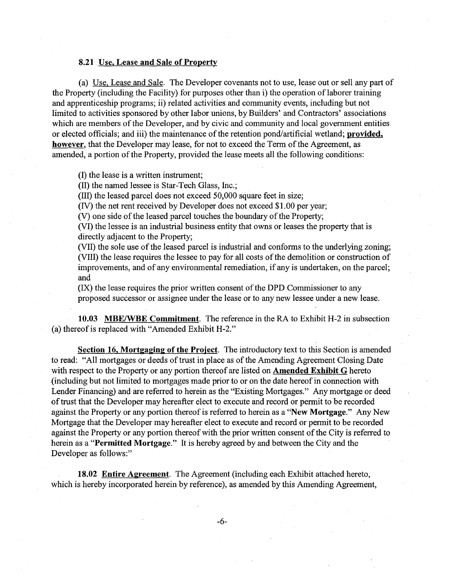#### 8.21 Use, Lease and Sale of Property

(a) Use, Lease and Sale. The Developer covenants not to use, lease out or sell any part of the Property (including the Facility) for purposes other than i) the operation of laborer training and apprenticeship programs; ii) related activities and community events, including but not limited to activities sponsored by other labor unions, by Builders' and Contractors' associations which are members of the Developer, and by civic and community and local government entities or elected officials; and iii) the maintenance of the retention pond/artificial wetland; provided, however, that the Developer may lease, for not to exceed the Term of the Agreement, as amended, a portion of the Property, provided the lease meets all the following conditions:

. (I) the lease is a written instrument;

(II) the named lessee is Star-Tech Glass, Inc.;

(III) the leased parcel does not exceed 50,000 square feet in size;

(N) the net rent received by Developer does not exceed \$1.00 per year;

(V) one side of the leased parcel touches the boundary of the Property;

(VI) the lessee is an industrial business entity that owns or leases the property that is directly adjacent to the Property;

(VII) the sole use of the leased parcel is industrial and conforms to the underlying zoning; (VIII) the lease requires the lessee to pay for all costs of the demolition or construction of improvements, and of any environmental remediation, if any is undertaken, on the parcel; and

(IX) the lease requires the prior written consent of the DPD Commissioner to any proposed successor or assignee under the lease or to any new lessee under a new lease.

10.03 MBE/WBE Commitment. The reference in the RA to Exhibit H-2 in subsection (a) thereof is replaced with "Amended Exhibit H-2."

Section 16, Mortgaging of the Project. The introductory text to this Section is amended to read: "All mortgages or deeds of trust in place as of the Amending Agreement Closing Date with respect to the Property or any portion thereof are listed on **Amended Exhibit G** hereto (including but not limited to mortgages made prior to or on the date hereof in connection with Lender Financing) and are referred to herein as the "Existing Mortgages." Any mortgage or deed of trust that the Developer may hereafter elect to execute and record or permit to be recorded against the Property or any portion thereof is referred to herein as a "New Mortgage." Any New Mortgage that the Developer may hereafter elect to execute and record or permit to be recorded against the Property or any portion thereof with the prior written consent of the City is referred to herein as a "Permitted Mortgage." It is hereby agreed by and between the City and the Developer as follows:"

18.02 Entire Agreement. The Agreement (including each Exhibit attached hereto, which is hereby incorporated herein by reference), as amended by this Amending Agreement,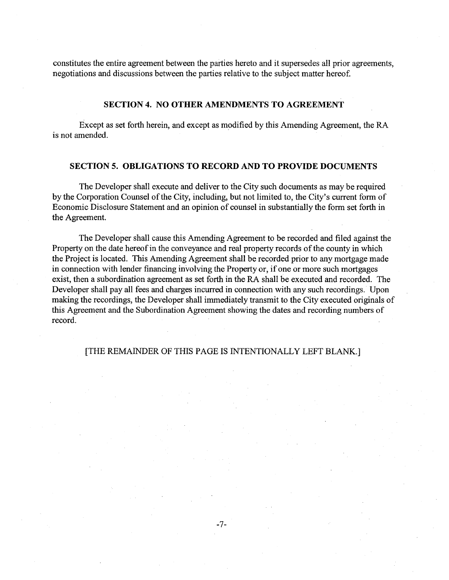constitutes the entire agreement between the parties hereto and it supersedes all prior agreements, negotiations and discussions between the parties relative to the subject matter hereof.

#### **SECTION 4. NO OTHER AMENDMENTS TO AGREEMENT**

Except as set forth herein, and except as modified by this Amending Agreement, the RA is not amended.

### **SECTION 5. OBLIGATIONS TO RECORD AND TO PROVIDE DOCUMENTS**

The Developer shall execute and deliver to the City such documents as may be required by the Corporation Counsel of the City, including, but not limited to, the City's current form of Economic Disclosure Statement and an opinion of counsel in substantially the form set forth in the Agreement.

The Developer shall cause this Amending Agreement to be recorded and filed against the Property on the date hereof in the conveyance and real property records of the county in which the Project is located. This Amepding Agreement shall be recorded prior to any mortgage made in connection with lender financing involving the Property or, if one or more such mortgages exist, then a subordination agreement as set forth in the RA shall be executed and recorded. The Developer shall pay all fees and charges incurred in connection with any such recordings. Upon making the recordings, the Developer shall immediately transmit to the City executed originals of this Agreement and the Subordination Agreement showing the dates and recording numbers of record.

### [THE REMAINDER OF THIS PAGE IS INTENTIONALLY LEFT BLANK.]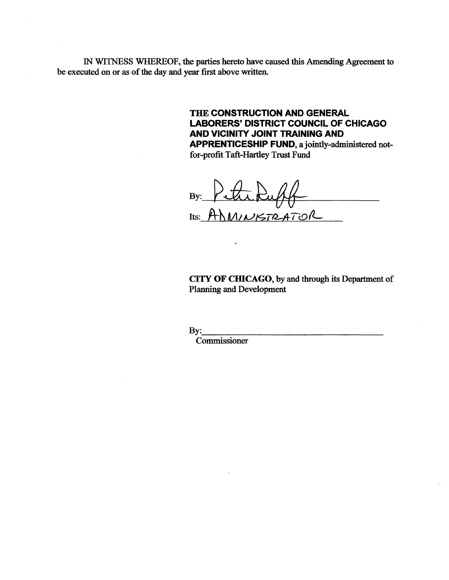IN WI'INESS WHEREOF, the parties hereto have caused this Amending Agreement to be executed on or as of the day and year first above written.

> THE CONSTRUCTION AND GENERAL LABORERS' DISTRICT COUNCIL OF CHICAGO AND VICINITY JOINT TRAINING AND APPRENTICESHIP FUND, a jointly-administered not-

for-profit Taft-Hartley Trust Fund

 $\langle \cdot \rangle$ 

By: Petroluff 

CITY OF CHICAGO, by and through its Department of Planning and Development

 $\mathbf{By:}$ 

Commissioner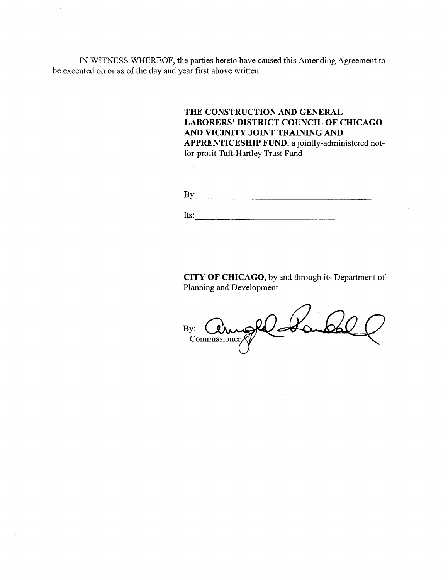IN WITNESS WHEREOF, the parties hereto have caused this Amending Agreement to be executed on or as of the day and year first above written.

> **THE CONSTRUCTION AND GENERAL LABORERS' DISTRICT COUNCIL OF CHICAGO AND VICINITY JOINT TRAINING AND APPRENTICESHIP FUND,** a jointly-administered notfor-profit Taft-Hartley Trust Fund

By: ---------------------------------

Its: ---------------------------

**CITY OF CHICAGO,** by and through its Department of Planning and Development

le La By: Commissioner,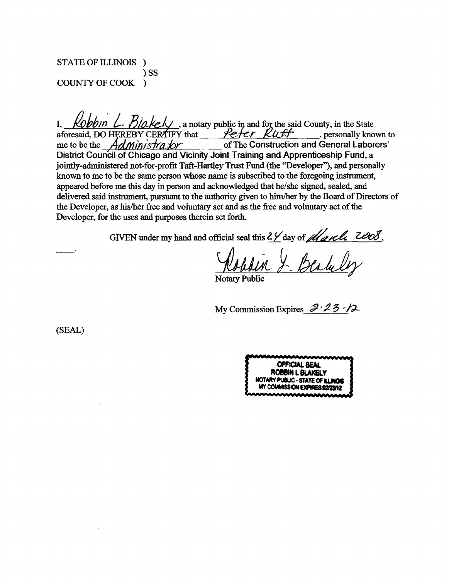# STATE OF ILLINOIS )  $\sum$ COUNTY OF COOK )

Kobbin L. Blakely, a notary public in and for the said County, in the State  $\mathbf{I}$ aforesaid, DO HEREBY CERTIFY that Peter Ruff , personally known to of The Construction and General Laborers' me to be the *Administrator* District Council of Chicago and Vicinity Joint Training and Apprenticeship Fund, a jointly-administered not-for-profit Taft-Hartley Trust Fund (the "Developer"), and personally known to me to be the same person whose name is subscribed to the foregoing instrument, appeared before me this day in person and acknowledged that he/she signed, sealed, and delivered said instrument, pursuant to the authority given to him/her by the Board of Directors of the Developer, as his/her free and voluntary act and as the free and voluntary act of the Developer, for the uses and purposes therein set forth.

GIVEN under my hand and official seal this  $\frac{2\gamma}{\omega}$  day of *March* 2008,

**Notary Public** 

My Commission Expires  $3\sqrt{23}$  -12

(SEAL)

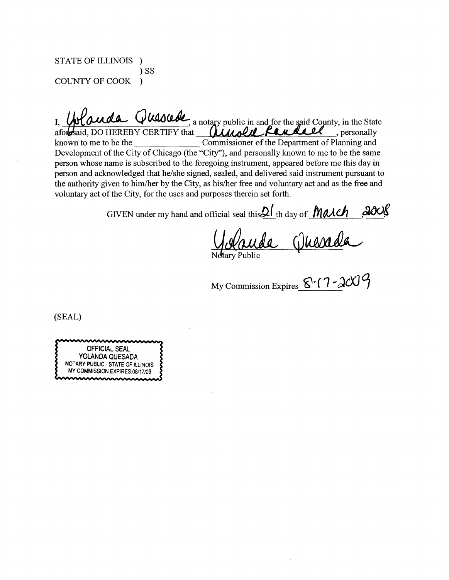STATE OF ILLINOIS )  $)$  SS **COUNTY OF COOK**  $\lambda$ 

ada Quescede, a notary public in and for the said County, in the State afordsaid, DO HEREBY CERTIFY that **Ulivald Pandall**, personally known to me to be the Commissioner of the Department of Planning and Development of the City of Chicago (the "City"), and personally known to me to be the same person whose name is subscribed to the foregoing instrument, appeared before me this day in person and acknowledged that he/she signed, sealed, and delivered said instrument pursuant to the authority given to him/her by the City, as his/her free and voluntary act and as the free and voluntary act of the City, for the uses and purposes therein set forth.

GIVEN under my hand and official seal this 21 th day of <u>March</u> 2008

My Commission Expires  $8\cdot$  (7 - 2009)

(SEAL)

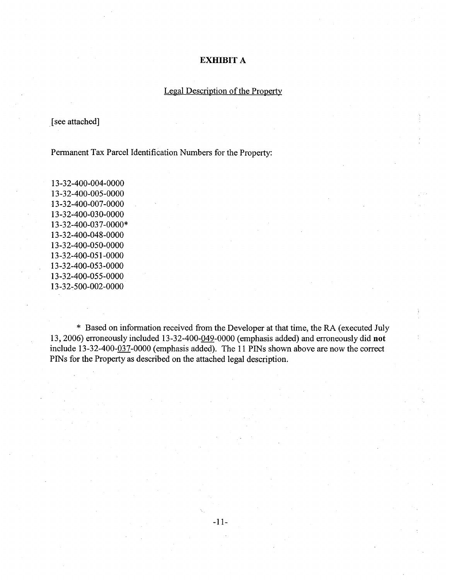## **EXHIBIT A**

## Legal Description of the Property

[see attached]

Permanent Tax Parcel Identification Numbers for the Property:

13-32-400-004-0000 13-32-400-005-0000 13-32-400-007-0000 13-32-400-030-0000 13-32-400-037-0000\* 13-32-400-048-0000 13-32-400-050-0000 13-32-400-051-0000 13-32-400-053-0000 13-32-400-055-0000 13-32-500-002-0000

\* Based on information received from the Developer at that time, the RA (executed July 13, 2006) erroneously included 13-32-400-049-0000 (emphasis added) and erroneously did **not**  include 13-32-400-037-0000 (emphasis added). The 11 PINs shown above are now the correct PINs for the Property as described on the attached legal description.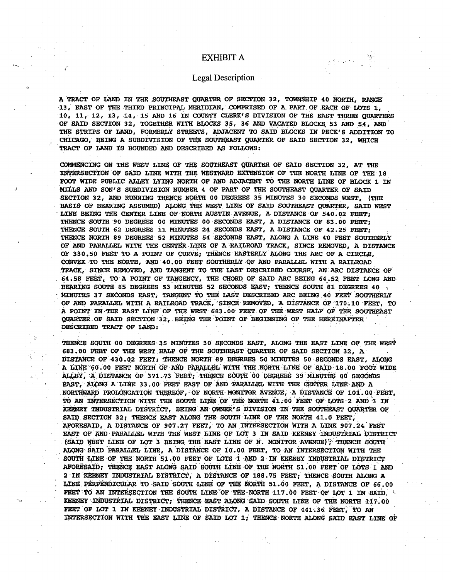#### EXHIBIT A

#### **Legal Description**

A TRACT OF LAND IN THE SOUTHEAST QUARTER OF SECTION 32, TOWNSHIP 40 NORTH, RANGE 13. EAST OF THE THIRD PRINCIPAL MERIDIAN, COMPRISED OF A PART OF EACH OF LOTS 1, 10, 11, 12, 13, 14, 15 AND 16 IN COUNTY CLERK'S DIVISION OF THE EAST THREE QUARTERS OF SAID SECTION 32, TOGETHER WITH BLOCKS 35, 36 AND VACATED BLOCKS 53 AND 54, AND THE STRIPS OF LAND, FORMERLY STREETS, ADJACENT TO SAID BLOCKS IN PECK'S ADDITION TO CHICAGO, BEING A SUBDIVISION OF THE SOUTHEAST QUARTER OF SAID SECTION 32. WHICH TRACT OF LAND IS BOUNDED AND DESCRIBED AS FOLLOWS:

COMMENCING ON THE WEST LINE OF THE SOUTHEAST QUARTER OF SAID SECTION 32, AT THE INTERSECTION OF SAID LINE WITH THE WESTWARD EXTENSION OF THE NORTH LINE OF THE 18 FOOT WIDE PUBLIC ALLEY LYING NORTH OF AND ADJACENT TO THE NORTH LINE OF BLOCK 1 IN MILLS AND SON'S SUBDIVISION NUMBER 4 OF PART OF THE SOUTHEAST OUARTER OF SAID SECTION 32, AND RUNNING THENCE NORTH 00 DEGREES 35 MINUTES 30 SECONDS WEST, (THE BASIS OF BEARING ASSUMED) ALONG THE WEST LINE OF SAID SOUTHEAST OUARTER. SAID WEST LINE BEING THE CENTER LINE OF NORTH AUSTIN AVENUE, A DISTANCE OF 540.02 FEET: THENCE SOUTH 90 DEGREES 00 MINUTES 00 SECONDS EAST, A DISTANCE OF 83.00 FEET; THENCE SOUTH 62 DEGREES 11 MINUTES 24 SECONDS EAST, A DISTANCE OF 42.25 FEET; THENCE NORTH 89 DEGREES 52 MINUTES 54 SECONDS EAST, ALONG A LINE 40 FEET SOUTHERLY OF AND PARALLEL WITH THE CENTER LINE OF A RAILROAD TRACK, SINCE REMOVED, A DISTANCE OF 330.50 FEET TO A POINT OF CURVE, THENCE EASTERLY ALONG THE ARC OF A CIRCLE. CONVEX TO THE NORTH, AND 40.00 FEET SOUTHERLY OF AND PARALLEL WITH A RAILROAD TRACK, SINCE REMOVED, AND TANGENT TO THE LAST DESCRIBED COURSE, AN ARC DISTANCE OF 64.58 FEET, TO A POINT OF TANGENCY, THE CHORD OF SAID ARC BEING 64.52 FEET LONG AND BEARING SOUTH 85 DEGREES 53 MINUTES 52 SECONDS EAST; THENCE SOUTH 81 DEGREES 40 MINUTES 37 SECONDS EAST, TANGENT TO THE LAST DESCRIBED ARC BEING 40 FEET SOUTHERLY OF AND PARALLEL WITH A RAILROAD TRACK, SINCE REMOVED, A DISTANCE OF 170.10 FEET, TO A POINT IN THE EAST LINE OF THE WEST 683.00 FEET OF THE WEST HALF OF THE SOUTHEAST QUARTER OF SAID SECTION 32, BEING THE POINT OF BEGINNING OF THE HEREINAFTER DESCRIBED TRACT OF LAND:

THENCE SOUTH 00 DEGREES 35 MINUTES 30 SECONDS EAST, ALONG THE EAST LINE OF THE WEST 683.00 FEET OF THE WEST HALF OF THE SOUTHEAST QUARTER OF SAID SECTION 32, A DISTANCE OF 430.02 FEET, THENCE NORTH 89 DEGREES 50 MINUTES 50 SECONDS EAST, ALONG A LINE 60.00 FEET NORTH OF AND PARALLEL WITH THE NORTH LINE OF SAID 18.00 FOOT WIDE ALLEY, A DISTANCE OF 371.73 FEET, THENCE SOUTH 00 DEGREES 39 MINUTES 00 SECONDS EAST, ALONG A LINE 33.00 FEET EAST OF AND PARALLEL WITH THE CENTER LINE AND A NORTHWARD PROLONGATION THEREOF, OF NORTH MONITOR AVENUE, A DISTANCE OF 101.00 FEET, TO AN INTERSECTION WITH THE SOUTH LINE OF THE NORTH 41.00 FEET OF LOTS 2 AND 3 IN KEENEY INDUSTRIAL DISTRICT, BEING AN OWNER'S DIVISION IN THE SOUTHEAST QUARTER OF SAID SECTION 32; THENCE EAST ALONG THE SOUTH LINE OF THE NORTH 41.0 FEET, AFORESAID, A DISTANCE OF 907.27 FEET, TO AN INTERSECTION WITH A LINE 907.24 FEET EAST OF AND PARALLEL WITH THE WEST LINE OF LOT 3 IN SAID KEENEY INDUSTRIAL DISTRICT (SAID WEST LINE OF LOT 3 BEING THE EAST LINE OF N. MONITOR AVENUE); THENCE SOUTH ALONG SAID PARALLEL LINE, A DISTANCE OF 10.00 FEET, TO AN INTERSECTION WITH THE SOUTH LINE OF THE NORTH 51.00 FEET OF LOTS 1 AND 2 IN KEENEY INDUSTRIAL DISTRICT AFORESAID, THENCE EAST ALONG SAID SOUTH LINE OF THE NORTH 51.00 FEET OF LOTS 1 AND 2 IN KEENEY INDUSTRIAL DISTRICT, A DISTANCE OF 188.75 FEET, THENCE SOUTH ALONG A LINE PERPENDICULAR TO SAID SOUTH LINE OF THE NORTH 51.00 FEET, A DISTANCE OF 66.00 FEET TO AN INTERSECTION THE SOUTH LINE OF THE NORTH 117.00 FEET OF LOT 1 IN SAID. KEENEY INDUSTRIAL DISTRICT, THENCE EAST ALONG SAID SOUTH LINE OF THE NORTH 117.00 FEET OF LOT 1 IN KEENEY INDUSTRIAL DISTRICT, A DISTANCE OF 441.36 FEET, TO AN INTERSECTION WITH THE EAST LINE OF SAID LOT 1; THENCE NORTH ALONG SAID EAST LINE OF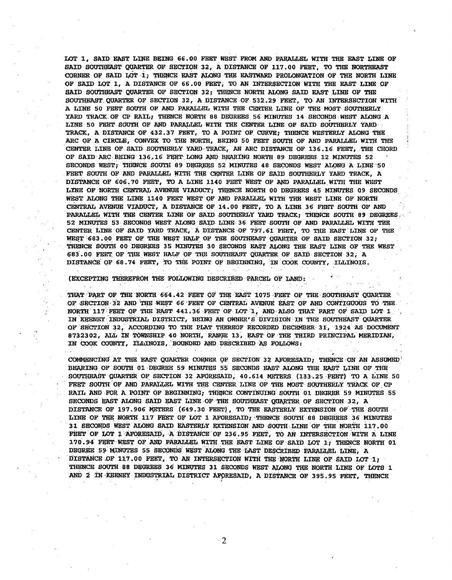LOT 1, SAID EAST LINE BEING 66.00 FERT WEST FROM AND PARALLEL WITH THE EAST LINE OF SAID SOUTHEAST QUARTER OF SECTION 32, A DISTANCE OF 117.00 FEET, TO THE NORTHEAST CORNER OF SAID LOT 1; THENCE EAST ALONG THE EASTWARD PROLONGATION OF THE NORTH LINE OF SAID LOT 1, A DISTANCE OF 66.00 FEET, TO AN INTERSECTION WITH THE EAST LINE OF SAID SOUTHEAST QUARTER OF SECTION 32; THENCE NORTH ALONG SAID EAST LINE OF THE SOUTHEAST QUARTER OF SECTION 32, A DISTANCE OF 532.29 FEET, TO AN INTERSECTION WITH A LINE 50 FEET SOUTH OF AND PARALLEL WITH THE CENTER LINE OF THE MOST SOUTHERLY YARD TRACK OF CP RAIL; THENCE NORTH 88 DEGREES 56 MINUTES 14 SECONDS WEST ALONG A LINE 50 FEET SOUTH OF AND PARALLEL WITH THE CENTER LINE OF SAID SOUTHERLY YARD TRACK, A DISTANCE OF 432.37 FEET, TO A POINT OF CURVE; THENCE WESTERLY ALONG THE ARC OF A CIRCLE, CONVEX TO THE NORTH, BEING 50 FEET SOUTH OF AND PARALLEL WITH THE CENTER LINE OF SAID SOUTHERLY YARD TRACK, AN ARC DISTANCE OF 136.16 FEET. THE CHORD OF SAID ARC BEING 136.16 FEET LONG AND BEARING NORTH 89 DEGREES 12 MINUTES 52 SECONDS WEST; THENCE SOUTH 89 DEGREES 52 MINUTES 48 SECONDS WEST ALONG A LINE 50 FEET SOUTH OF AND PARALLEL WITH THE CENTER LINE OF SAID SOUTHERLY YARD TRACK. A DISTANCE OF 606.70 FEET, TO A LINE 1140 FEET WEST OF AND PARALLEL WITH THE WEST LINE OF NORTH CENTRAL AVENUE VIADUCT; THENCE NORTH 00 DEGREES 45 MINUTES 09 SECONDS WEST ALONG THE LINE 1140 FEET WEST OF AND PARALLEL WITH THE WEST LINE OF NORTH CENTRAL AVENUE VIADUCT, A DISTANCE OF 14.00 FEET, TO A LINE 36 FEET SOUTH OF AND PARALLEL WITH THE CENTER LINE OF SAID SOUTHERLY YARD TRACK; THENCE SOUTH 89 DEGREES 52 MINUTES 53 SECONDS WEST ALONG SAID LINE 36 FEET SOUTH OF AND PARALLEL WITH THE CENTER LINE OF SAID YARD TRACK, A DISTANCE OF 797.61 FEET, TO THE EAST LINE OF THE WEST 683.00 FEET OF THE WEST HALF OF THE SOUTHEAST QUARTER OF SAID SECTION 32; THENCE SOUTH 00 DEGREES 35 MINUTES 30 SECONDS EAST ALONG THE EAST LINE OF THE WEST 683.00 FEET OF THE WEST HALF OF THE SOUTHEAST QUARTER OF SAID SECTION 32. A DISTANCE OF 68.74 FEET, TO THE POINT OF BEGINNING, IN COOK COUNTY, ILLINOIS.

(EXCEPTING THEREFROM THE FOLLOWING DESCRIBED PARCEL OF LAND:

THAT PART OF THE NORTH 664.42 FEET OF THE EAST 1075 FEET OF THE SOUTHEAST QUARTER OF SECTION 32 AND THE WEST 66 FEET OF CENTRAL AVENUE EAST OF AND CONTIGUOUS TO THE NORTH 117 FEET OF THE EAST 441.36 FEET OF LOT 1, AND ALSO THAT PART OF SAID LOT 1 IN KEENEY INDUSTRIAL DISTRICT, BEING AN OWNER'S DIVISION IN THE SOUTHEAST QUARTER OF SECTION 32, ACCORDING TO THE PLAT THEREOF RECORDED DECEMBER 31, 1924 AS DOCUMENT 8732302, ALL IN TOWNSHIP 40 NORTH, RANGE 13, EAST OF THE THIRD PRINCIPAL MERIDIAN, IN COOK COUNTY, ILLINOIS, BOUNDED AND DESCRIBED AS FOLLOWS:

in a

 $\sim 100$ 

 $\sim 10^7$  $\mathcal{L}^{\mathcal{L}}$ 

 $\mathcal{A}^{\mathcal{A}}$  and  $\mathcal{A}^{\mathcal{A}}$ 

COMMENCING AT THE EAST QUARTER CORNER OF SECTION 32 AFORESAID; THENCE ON AN ASSUMED BEARING OF SOUTH 01 DEGREE 59 MINUTES 55 SECONDS EAST ALONG THE EAST LINE OF THE SOUTHEAST QUARTER OF SECTION 32 AFORESAID, 40.614 METERS (133.25 FEET) TO A LINE 50 FEET SOUTH OF AND PARALLEL WITH THE CENTER LINE OF THE MOST SOUTHERLY TRACK OF CP RAIL AND FOR A POINT OF BEGINNING, THENCE CONTINUING SOUTH 01 DEGREE 59 MINUTES 55 SECONDS RAST ALONG SAID RAST LINE OF THE SOUTHEAST QUARTER OF SECTION 32, A DISTANCE OF 197.906 METERS (649.30 FEET), TO THE EASTERLY EXTENSION OF THE SOUTH LINE OF THE NORTH 117 FEET OF LOT 1 AFORESAID, THENCE SOUTH 88 DEGREES 36 MINUTES 31 SECONDS WEST ALONG SAID EASTERLY EXTENSION AND SOUTH LINE OF THE NORTH 117.00 FEET OF LOT 1 AFORESAID, A DISTANCE OF 236.95 FEET, TO AN INTERSECTION WITH A LINE 170.94 FEET WEST OF AND PARALLEL WITH THE EAST LINE OF SAID LOT 1; THENCE NORTH 01 DEGREE 59 MINUTES 55 SECONDS WEST ALONG THE LAST DESCRIBED PARALLEL LINE, A DISTANCE OF 117.00 FEET, TO AN INTERSECTION WITH THE NORTH LINE OF SAID LOT 1, THENCE SOUTH 88 DEGREES 36 MINUTES 31 SECONDS WEST ALONG THE NORTH LINE OF LOTS 1 AND 2 IN KEENEY INDUSTRIAL DISTRICT AFORESAID, A DISTANCE OF 395.95 FEET, THENCE

 $\overline{c}$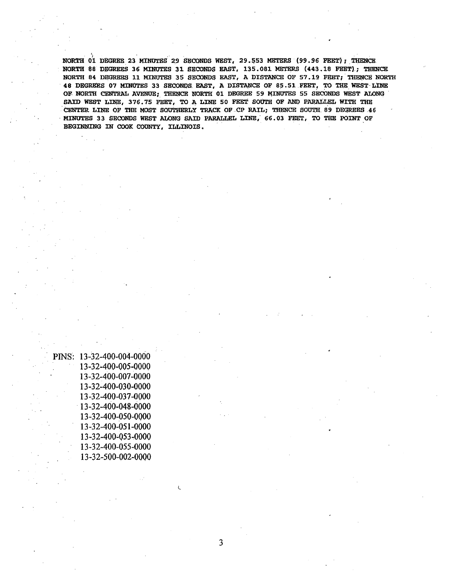NORTH 01 DEGREE 23 MINUTES 29 SECONDS WEST, 29.553 METERS (99.96 FEET); THENCE NORTH 88 DEGREES 36 MINUTES 31 SECONDS EAST, 135.081 METERS (443.18 FEET); THENCE NORTH 84 DEGREES 11 MINUTES 35 SECONDS EAST, A DISTANCE OF 57.19 FEET; THENCE NORTH 48 DEGREES 07 MINUTES 33 SECONDS EAST, A DISTANCE OF 85.51 FEET, TO THE WEST LINE OF NORTH CENTRAL AVENUE; THENCE NORTH 01 DEGREE 59 MINUTES 55 SECONDS WEST ALONG SAID WEST LINE, 376.75 FEET, TO A LINE 50 FEET SOUTH OF AND PARALLEL WITH THE CENTER LINE OF THE MOST SOUTHERLY TRACK OF CP RAIL; THENCE SOUTH 89 DEGREES 46 MINUTES 33 SECONDS WEST ALONG SAID PARALLEL LINE, 66.03 FEET, TO THE POINT OF BEGINNING IN COOK COUNTY, ILLINOIS.

| INS: | 13-32-400-004-0000           |
|------|------------------------------|
|      | 13-32-400-005-0000           |
|      | 13-32-400-007-0000           |
|      | 13-32-400-030-0000           |
|      | 13-32-400-037-0000           |
|      | $13 - 32 - 400 - 048 - 0000$ |
|      | 13-32-400-050-0000           |
|      | 13-32-400-051-0000           |
|      | 13-32-400-053-0000           |
|      | 13-32-400-055-0000           |
|      | 13-32-500-002-0000           |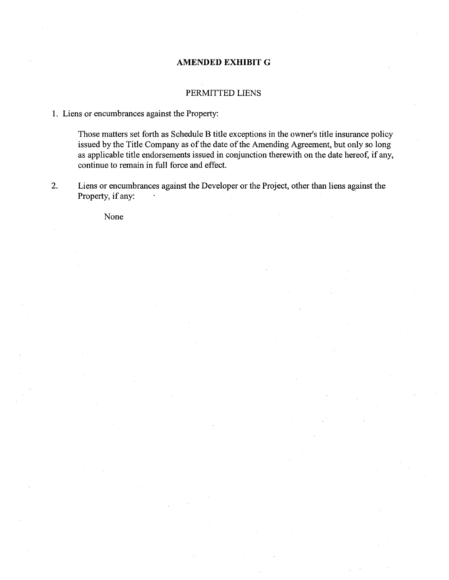## **AMENDED EXHIBIT G**

## PERMITTED LIENS

## **1.** Liens or encumbrances against the Property:

Those matters set forth as Schedule B title exceptions in the owner's title insurance policy issued by the Title Company as of the date of the Amending Agreement, but only so long as applicable title endorsements issued in conjunction therewith on the date hereof, if any, continue to remain in full force and effect.

2. Liens or encumbrances against the Developer or the Project, other than liens against the Property, if any:

None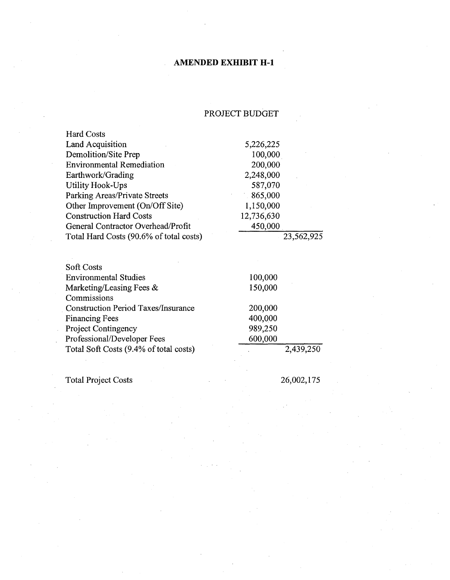# **AMENDED EXHIBIT H-1**

# PROJECT BUDGET

| <b>Hard Costs</b>                          |            |            |
|--------------------------------------------|------------|------------|
| Land Acquisition                           | 5,226,225  |            |
| Demolition/Site Prep                       | 100,000    |            |
| <b>Environmental Remediation</b>           | 200,000    |            |
| Earthwork/Grading                          | 2,248,000  |            |
| <b>Utility Hook-Ups</b>                    | 587,070    |            |
| Parking Areas/Private Streets              | 865,000    |            |
| Other Improvement (On/Off Site)            | 1,150,000  |            |
| <b>Construction Hard Costs</b>             | 12,736,630 |            |
| General Contractor Overhead/Profit         | 450,000    |            |
| Total Hard Costs (90.6% of total costs)    |            | 23,562,925 |
| <b>Soft Costs</b>                          |            |            |
| <b>Environmental Studies</b>               | 100,000    |            |
| Marketing/Leasing Fees &                   | 150,000    |            |
| Commissions                                |            |            |
| <b>Construction Period Taxes/Insurance</b> | 200,000    |            |
| <b>Financing Fees</b>                      | 400,000    |            |
| <b>Project Contingency</b>                 | 989,250    |            |
| Professional/Developer Fees                | 600,000    |            |

Total Project Costs

Total Soft Costs (9.4% of total costs)

26,002,175

2,439,250